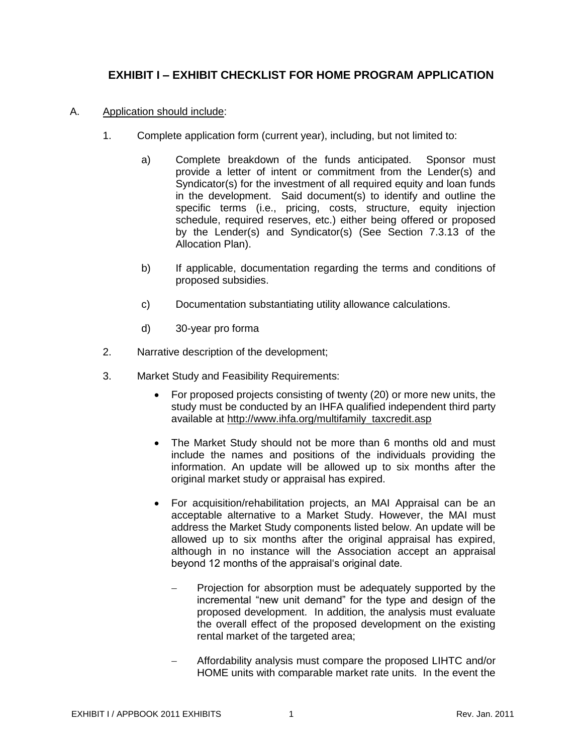## **EXHIBIT I – EXHIBIT CHECKLIST FOR HOME PROGRAM APPLICATION**

- A. Application should include:
	- 1. Complete application form (current year), including, but not limited to:
		- a) Complete breakdown of the funds anticipated. Sponsor must provide a letter of intent or commitment from the Lender(s) and Syndicator(s) for the investment of all required equity and loan funds in the development. Said document(s) to identify and outline the specific terms (i.e., pricing, costs, structure, equity injection schedule, required reserves, etc.) either being offered or proposed by the Lender(s) and Syndicator(s) (See Section 7.3.13 of the Allocation Plan).
		- b) If applicable, documentation regarding the terms and conditions of proposed subsidies.
		- c) Documentation substantiating utility allowance calculations.
		- d) 30-year pro forma
	- 2. Narrative description of the development;
	- 3. Market Study and Feasibility Requirements:
		- For proposed projects consisting of twenty (20) or more new units, the study must be conducted by an IHFA qualified independent third party available at [http://www.ihfa.org/multifamily\\_taxcredit.asp](http://www.ihfa.org/multifamily_taxcredit.asp)
		- The Market Study should not be more than 6 months old and must include the names and positions of the individuals providing the information. An update will be allowed up to six months after the original market study or appraisal has expired.
		- For acquisition/rehabilitation projects, an MAI Appraisal can be an acceptable alternative to a Market Study. However, the MAI must address the Market Study components listed below. An update will be allowed up to six months after the original appraisal has expired, although in no instance will the Association accept an appraisal beyond 12 months of the appraisal's original date.
			- Projection for absorption must be adequately supported by the incremental "new unit demand" for the type and design of the proposed development. In addition, the analysis must evaluate the overall effect of the proposed development on the existing rental market of the targeted area;
			- Affordability analysis must compare the proposed LIHTC and/or HOME units with comparable market rate units. In the event the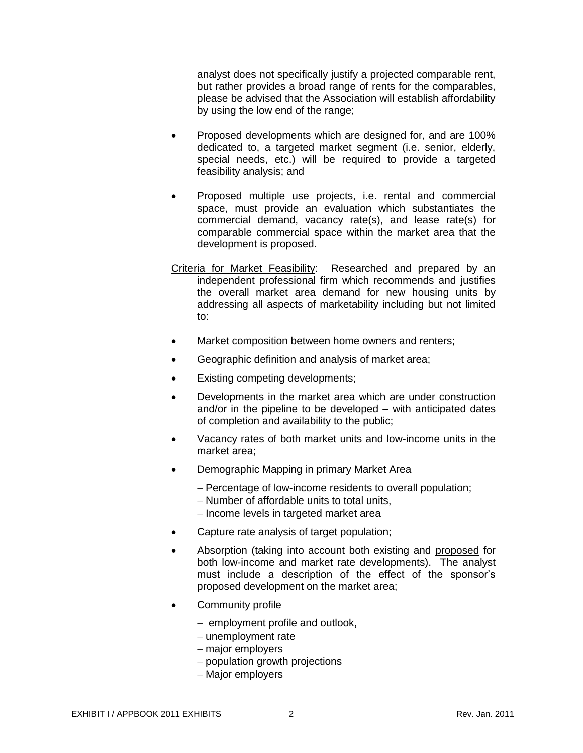analyst does not specifically justify a projected comparable rent, but rather provides a broad range of rents for the comparables, please be advised that the Association will establish affordability by using the low end of the range;

- Proposed developments which are designed for, and are 100% dedicated to, a targeted market segment (i.e. senior, elderly, special needs, etc.) will be required to provide a targeted feasibility analysis; and
- Proposed multiple use projects, i.e. rental and commercial space, must provide an evaluation which substantiates the commercial demand, vacancy rate(s), and lease rate(s) for comparable commercial space within the market area that the development is proposed.
- Criteria for Market Feasibility: Researched and prepared by an independent professional firm which recommends and justifies the overall market area demand for new housing units by addressing all aspects of marketability including but not limited to:
- Market composition between home owners and renters;
- Geographic definition and analysis of market area;
- Existing competing developments;
- Developments in the market area which are under construction and/or in the pipeline to be developed – with anticipated dates of completion and availability to the public;
- Vacancy rates of both market units and low-income units in the market area;
- Demographic Mapping in primary Market Area
	- Percentage of low-income residents to overall population;
	- Number of affordable units to total units,
	- Income levels in targeted market area
- Capture rate analysis of target population;
- Absorption (taking into account both existing and proposed for both low-income and market rate developments). The analyst must include a description of the effect of the sponsor's proposed development on the market area;
- Community profile
	- $-$  employment profile and outlook,
	- $-$  unemployment rate
	- major employers
	- population growth projections
	- Major employers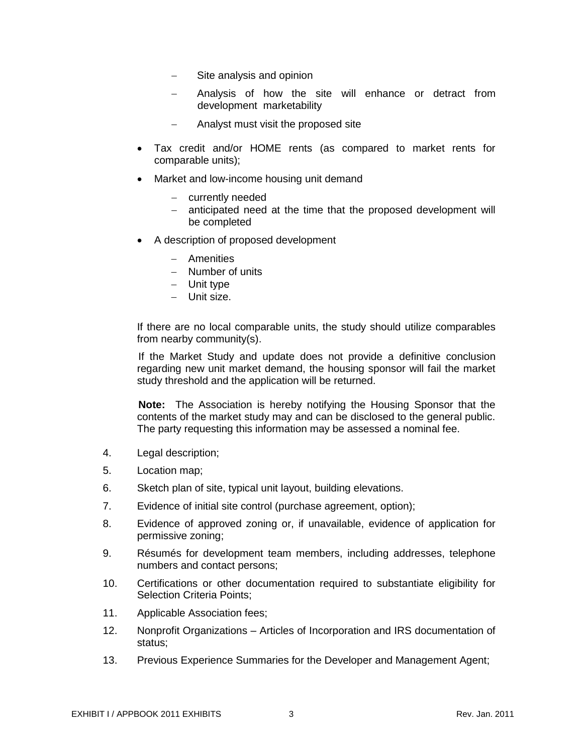- Site analysis and opinion
- Analysis of how the site will enhance or detract from development marketability
- Analyst must visit the proposed site
- Tax credit and/or HOME rents (as compared to market rents for comparable units);
- Market and low-income housing unit demand
	- currently needed
	- anticipated need at the time that the proposed development will be completed
- A description of proposed development
	- Amenities
	- Number of units
	- Unit type
	- Unit size.

If there are no local comparable units, the study should utilize comparables from nearby community(s).

If the Market Study and update does not provide a definitive conclusion regarding new unit market demand, the housing sponsor will fail the market study threshold and the application will be returned.

**Note:** The Association is hereby notifying the Housing Sponsor that the contents of the market study may and can be disclosed to the general public. The party requesting this information may be assessed a nominal fee.

- 4. Legal description;
- 5. Location map;
- 6. Sketch plan of site, typical unit layout, building elevations.
- 7. Evidence of initial site control (purchase agreement, option);
- 8. Evidence of approved zoning or, if unavailable, evidence of application for permissive zoning;
- 9. Résumés for development team members, including addresses, telephone numbers and contact persons;
- 10. Certifications or other documentation required to substantiate eligibility for Selection Criteria Points;
- 11. Applicable Association fees;
- 12. Nonprofit Organizations Articles of Incorporation and IRS documentation of status;
- 13. Previous Experience Summaries for the Developer and Management Agent;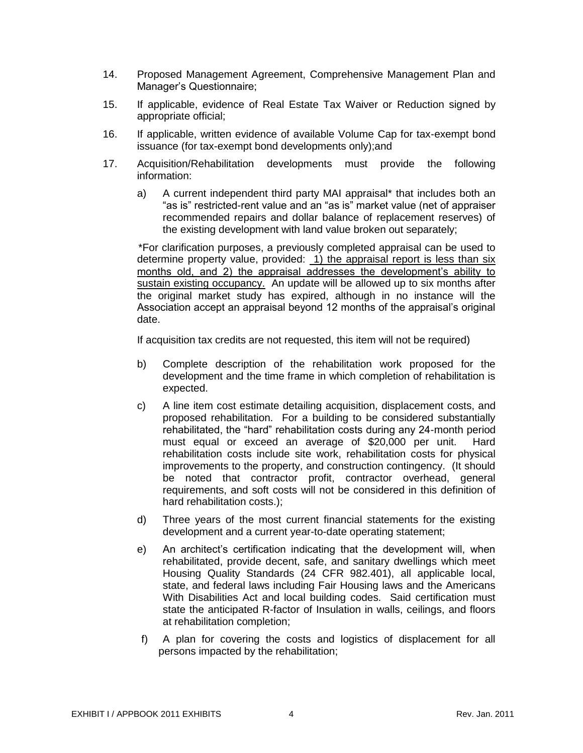- 14. Proposed Management Agreement, Comprehensive Management Plan and Manager"s Questionnaire;
- 15. If applicable, evidence of Real Estate Tax Waiver or Reduction signed by appropriate official;
- 16. If applicable, written evidence of available Volume Cap for tax-exempt bond issuance (for tax-exempt bond developments only);and
- 17. Acquisition/Rehabilitation developments must provide the following information:
	- a) A current independent third party MAI appraisal\* that includes both an "as is" restricted-rent value and an "as is" market value (net of appraiser recommended repairs and dollar balance of replacement reserves) of the existing development with land value broken out separately;

\*For clarification purposes, a previously completed appraisal can be used to determine property value, provided:  $1)$  the appraisal report is less than six months old, and 2) the appraisal addresses the development's ability to sustain existing occupancy. An update will be allowed up to six months after the original market study has expired, although in no instance will the Association accept an appraisal beyond 12 months of the appraisal"s original date.

If acquisition tax credits are not requested, this item will not be required)

- b) Complete description of the rehabilitation work proposed for the development and the time frame in which completion of rehabilitation is expected.
- c) A line item cost estimate detailing acquisition, displacement costs, and proposed rehabilitation. For a building to be considered substantially rehabilitated, the "hard" rehabilitation costs during any 24-month period must equal or exceed an average of \$20,000 per unit. Hard rehabilitation costs include site work, rehabilitation costs for physical improvements to the property, and construction contingency. (It should be noted that contractor profit, contractor overhead, general requirements, and soft costs will not be considered in this definition of hard rehabilitation costs.);
- d) Three years of the most current financial statements for the existing development and a current year-to-date operating statement;
- e) An architect's certification indicating that the development will, when rehabilitated, provide decent, safe, and sanitary dwellings which meet Housing Quality Standards (24 CFR 982.401), all applicable local, state, and federal laws including Fair Housing laws and the Americans With Disabilities Act and local building codes. Said certification must state the anticipated R-factor of Insulation in walls, ceilings, and floors at rehabilitation completion;
- f) A plan for covering the costs and logistics of displacement for all persons impacted by the rehabilitation;